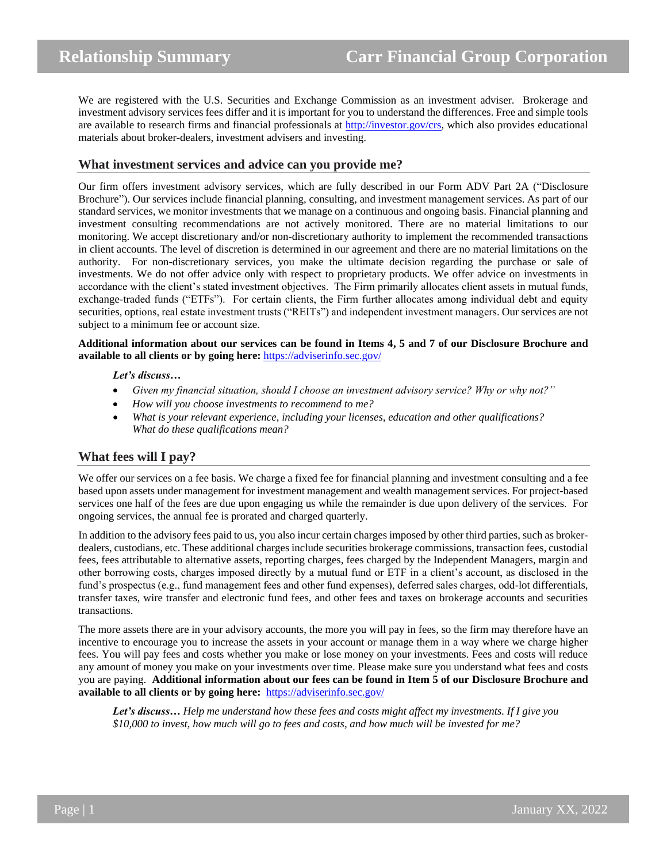We are registered with the U.S. Securities and Exchange Commission as an investment adviser. Brokerage and investment advisory services fees differ and it is important for you to understand the differences. Free and simple tools are available to research firms and financial professionals at [http://investor.gov/crs,](http://investor.gov/crs) which also provides educational materials about broker-dealers, investment advisers and investing.

# **What investment services and advice can you provide me?**

Our firm offers investment advisory services, which are fully described in our Form ADV Part 2A ("Disclosure Brochure"). Our services include financial planning, consulting, and investment management services. As part of our standard services, we monitor investments that we manage on a continuous and ongoing basis. Financial planning and investment consulting recommendations are not actively monitored. There are no material limitations to our monitoring. We accept discretionary and/or non-discretionary authority to implement the recommended transactions in client accounts. The level of discretion is determined in our agreement and there are no material limitations on the authority. For non-discretionary services, you make the ultimate decision regarding the purchase or sale of investments. We do not offer advice only with respect to proprietary products. We offer advice on investments in accordance with the client's stated investment objectives. The Firm primarily allocates client assets in mutual funds, exchange-traded funds ("ETFs"). For certain clients, the Firm further allocates among individual debt and equity securities, options, real estate investment trusts ("REITs") and independent investment managers. Our services are not subject to a minimum fee or account size.

**Additional information about our services can be found in Items 4, 5 and 7 of our Disclosure Brochure and available to all clients or by going here:** <https://adviserinfo.sec.gov/>

#### *Let's discuss…*

- *Given my financial situation, should I choose an investment advisory service? Why or why not?"*
- *How will you choose investments to recommend to me?*
- *What is your relevant experience, including your licenses, education and other qualifications? What do these qualifications mean?*

## **What fees will I pay?**

We offer our services on a fee basis. We charge a fixed fee for financial planning and investment consulting and a fee based upon assets under management for investment management and wealth management services. For project-based services one half of the fees are due upon engaging us while the remainder is due upon delivery of the services. For ongoing services, the annual fee is prorated and charged quarterly.

In addition to the advisory fees paid to us, you also incur certain charges imposed by other third parties, such as brokerdealers, custodians, etc. These additional charges include securities brokerage commissions, transaction fees, custodial fees, fees attributable to alternative assets, reporting charges, fees charged by the Independent Managers, margin and other borrowing costs, charges imposed directly by a mutual fund or ETF in a client's account, as disclosed in the fund's prospectus (e.g., fund management fees and other fund expenses), deferred sales charges, odd-lot differentials, transfer taxes, wire transfer and electronic fund fees, and other fees and taxes on brokerage accounts and securities transactions.

The more assets there are in your advisory accounts, the more you will pay in fees, so the firm may therefore have an incentive to encourage you to increase the assets in your account or manage them in a way where we charge higher fees. You will pay fees and costs whether you make or lose money on your investments. Fees and costs will reduce any amount of money you make on your investments over time. Please make sure you understand what fees and costs you are paying. **Additional information about our fees can be found in Item 5 of our Disclosure Brochure and available to all clients or by going here:** <https://adviserinfo.sec.gov/>

*Let's discuss… Help me understand how these fees and costs might affect my investments. If I give you \$10,000 to invest, how much will go to fees and costs, and how much will be invested for me?*